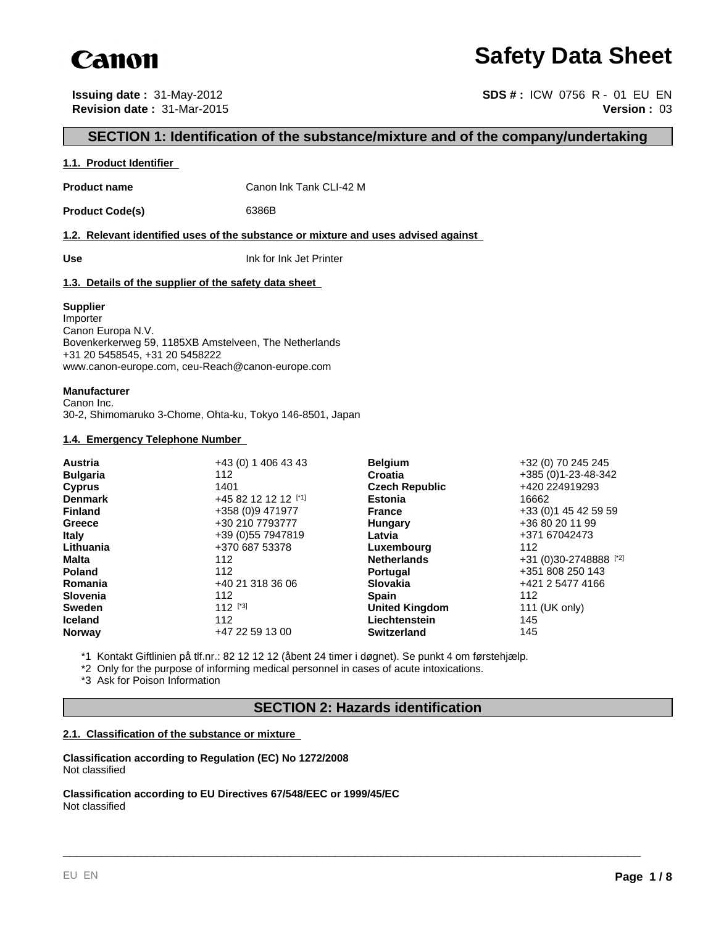

## **Safety Data Sheet**

**Issuing date :** 31-May-2012 **SDS # :** ICW 0756 R - 01 EU EN **Revision date :** 31-Mar-2015 **Version :** 03

## **SECTION 1: Identification of the substance/mixture and of the company/undertaking**

#### **1.1. Product Identifier**

**Product name** Canon Ink Tank CLI-42 M

Product Code(s) 6386B

**1.2. Relevant identified uses of the substance or mixture and uses advised against** 

**Use** Ink for Ink Jet Printer

#### **1.3. Details of the supplier of the safety data sheet**

#### **Supplier**

Importer Canon Europa N.V. Bovenkerkerweg 59, 1185XB Amstelveen, The Netherlands +31 20 5458545, +31 20 5458222 www.canon-europe.com, ceu-Reach@canon-europe.com

#### **Manufacturer**

Canon Inc. 30-2, Shimomaruko 3-Chome, Ohta-ku, Tokyo 146-8501, Japan

#### **1.4. Emergency Telephone Number**

| Austria         | +43 (0) 1 406 43 43  | <b>Belgium</b>        | +32 (0) 70 245 245     |
|-----------------|----------------------|-----------------------|------------------------|
| <b>Bulgaria</b> | 112                  | <b>Croatia</b>        | +385 (0) 1-23-48-342   |
| <b>Cyprus</b>   | 1401                 | <b>Czech Republic</b> | +420 224919293         |
| <b>Denmark</b>  | +45 82 12 12 12 [*1] | <b>Estonia</b>        | 16662                  |
| <b>Finland</b>  | +358 (0)9 471977     | <b>France</b>         | +33 (0) 1 45 42 59 59  |
| Greece          | +30 210 7793777      | Hungary               | +36 80 20 11 99        |
| <b>Italy</b>    | +39 (0) 55 7947819   | Latvia                | +371 67042473          |
| Lithuania       | +370 687 53378       | Luxembourg            | 112                    |
| <b>Malta</b>    | 112                  | <b>Netherlands</b>    | +31 (0)30-2748888 [*2] |
| <b>Poland</b>   | 112                  | <b>Portugal</b>       | +351 808 250 143       |
| Romania         | +40 21 318 36 06     | <b>Slovakia</b>       | +421 2 5477 4166       |
| <b>Slovenia</b> | 112                  | <b>Spain</b>          | 112                    |
| <b>Sweden</b>   | $112$ [*3]           | <b>United Kingdom</b> | 111 (UK only)          |
| <b>Iceland</b>  | 112                  | Liechtenstein         | 145                    |
| <b>Norway</b>   | +47 22 59 13 00      | <b>Switzerland</b>    | 145                    |

\*1 Kontakt Giftlinien på tlf.nr.: 82 12 12 12 (åbent 24 timer i døgnet). Se punkt 4 om førstehjælp.

\*2 Only for the purpose of informing medical personnel in cases of acute intoxications.

\*3 Ask for Poison Information

## **SECTION 2: Hazards identification**

\_\_\_\_\_\_\_\_\_\_\_\_\_\_\_\_\_\_\_\_\_\_\_\_\_\_\_\_\_\_\_\_\_\_\_\_\_\_\_\_\_\_\_\_\_\_\_\_\_\_\_\_\_\_\_\_\_\_\_\_\_\_\_\_\_\_\_\_\_\_\_\_\_\_\_\_\_\_\_\_\_\_\_\_\_\_\_\_\_

#### **2.1. Classification of the substance or mixture**

**Classification according to Regulation (EC) No 1272/2008** Not classified

**Classification according to EU Directives 67/548/EEC or 1999/45/EC** Not classified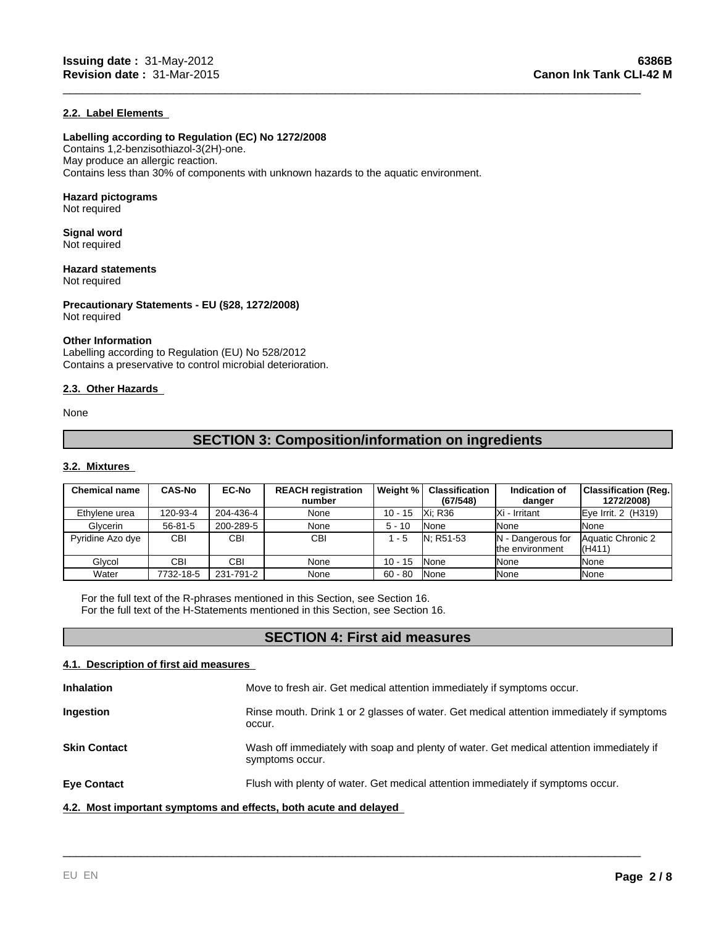#### **2.2. Label Elements**

#### **Labelling according to Regulation (EC) No 1272/2008**

Contains 1,2-benzisothiazol-3(2H)-one. May produce an allergic reaction. Contains less than 30% of components with unknown hazards to the aquatic environment.

#### **Hazard pictograms**

Not required

#### **Signal word** Not required

**Hazard statements** Not required

**Precautionary Statements - EU (§28, 1272/2008)** Not required

#### **Other Information**

Labelling according to Regulation (EU) No 528/2012 Contains a preservative to control microbial deterioration.

#### **2.3. Other Hazards**

None

## **SECTION 3: Composition/information on ingredients**

\_\_\_\_\_\_\_\_\_\_\_\_\_\_\_\_\_\_\_\_\_\_\_\_\_\_\_\_\_\_\_\_\_\_\_\_\_\_\_\_\_\_\_\_\_\_\_\_\_\_\_\_\_\_\_\_\_\_\_\_\_\_\_\_\_\_\_\_\_\_\_\_\_\_\_\_\_\_\_\_\_\_\_\_\_\_\_\_\_

#### **3.2. Mixtures**

| <b>Chemical name</b> | <b>CAS-No</b> | <b>EC-No</b> | <b>REACH registration</b><br>number | Weight %  | <b>Classification</b><br>(67/548) | Indication of<br>danger              | <b>Classification (Reg.)</b><br>1272/2008) |
|----------------------|---------------|--------------|-------------------------------------|-----------|-----------------------------------|--------------------------------------|--------------------------------------------|
| Ethylene urea        | 120-93-4      | 204-436-4    | None                                | $10 - 15$ | Xi: R36                           | IXi - Irritant                       | $Eve$ Irrit. 2 (H319)                      |
| Glycerin             | $56 - 81 - 5$ | 200-289-5    | None                                | $5 - 10$  | <b>None</b>                       | <b>None</b>                          | None                                       |
| Pyridine Azo dye     | <b>CBI</b>    | <b>CBI</b>   | <b>CBI</b>                          | $-5$      | N: R51-53                         | N - Dangerous for<br>the environment | Aquatic Chronic 2<br>(H411)                |
| Glvcol               | CBI           | CBI          | None                                | $10 - 15$ | <b>None</b>                       | <b>None</b>                          | None                                       |
| Water                | 7732-18-5     | 231-791-2    | None                                | $60 - 80$ | <b>None</b>                       | <b>None</b>                          | None                                       |

For the full text of the R-phrases mentioned in this Section, see Section 16. For the full text of the H-Statements mentioned in this Section, see Section 16.

## **SECTION 4: First aid measures**

#### **4.1. Description of first aid measures**

| <b>Inhalation</b>                                                | Move to fresh air. Get medical attention immediately if symptoms occur.                                     |
|------------------------------------------------------------------|-------------------------------------------------------------------------------------------------------------|
| Ingestion                                                        | Rinse mouth. Drink 1 or 2 glasses of water. Get medical attention immediately if symptoms<br>occur.         |
| <b>Skin Contact</b>                                              | Wash off immediately with soap and plenty of water. Get medical attention immediately if<br>symptoms occur. |
| <b>Eye Contact</b>                                               | Flush with plenty of water. Get medical attention immediately if symptoms occur.                            |
| 4.2. Most important symptoms and effects, both acute and delayed |                                                                                                             |

\_\_\_\_\_\_\_\_\_\_\_\_\_\_\_\_\_\_\_\_\_\_\_\_\_\_\_\_\_\_\_\_\_\_\_\_\_\_\_\_\_\_\_\_\_\_\_\_\_\_\_\_\_\_\_\_\_\_\_\_\_\_\_\_\_\_\_\_\_\_\_\_\_\_\_\_\_\_\_\_\_\_\_\_\_\_\_\_\_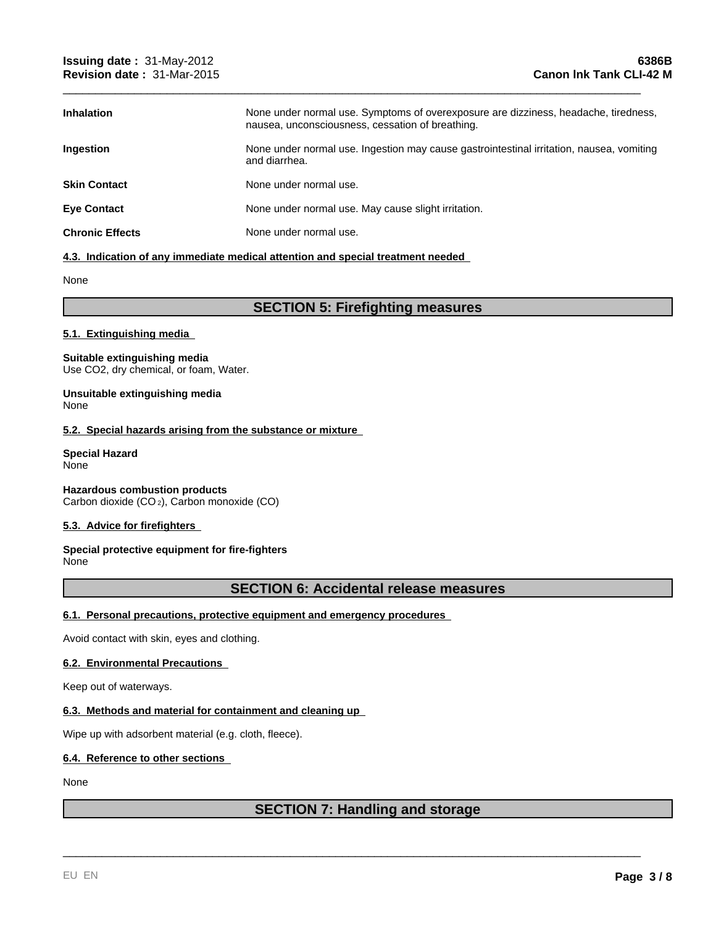| <b>Inhalation</b>      | None under normal use. Symptoms of overexposure are dizziness, headache, tiredness,<br>nausea, unconsciousness, cessation of breathing. |
|------------------------|-----------------------------------------------------------------------------------------------------------------------------------------|
| <b>Ingestion</b>       | None under normal use. Ingestion may cause gastrointestinal irritation, nausea, vomiting<br>and diarrhea.                               |
| <b>Skin Contact</b>    | None under normal use.                                                                                                                  |
| <b>Eye Contact</b>     | None under normal use. May cause slight irritation.                                                                                     |
| <b>Chronic Effects</b> | None under normal use.                                                                                                                  |

\_\_\_\_\_\_\_\_\_\_\_\_\_\_\_\_\_\_\_\_\_\_\_\_\_\_\_\_\_\_\_\_\_\_\_\_\_\_\_\_\_\_\_\_\_\_\_\_\_\_\_\_\_\_\_\_\_\_\_\_\_\_\_\_\_\_\_\_\_\_\_\_\_\_\_\_\_\_\_\_\_\_\_\_\_\_\_\_\_

#### **4.3. Indication of any immediate medical attention and special treatment needed**

None

## **SECTION 5: Firefighting measures**

#### **5.1. Extinguishing media**

#### **Suitable extinguishing media** Use CO2, dry chemical, or foam, Water.

#### **Unsuitable extinguishing media** None

#### **5.2. Special hazards arising from the substance or mixture**

#### **Special Hazard** None

**Hazardous combustion products** Carbon dioxide (CO 2), Carbon monoxide (CO)

#### **5.3. Advice for firefighters**

#### **Special protective equipment for fire-fighters** None

## **SECTION 6: Accidental release measures**

#### **6.1. Personal precautions, protective equipment and emergency procedures**

Avoid contact with skin, eyes and clothing.

#### **6.2. Environmental Precautions**

Keep out of waterways.

#### **6.3. Methods and material for containment and cleaning up**

Wipe up with adsorbent material (e.g. cloth, fleece).

#### **6.4. Reference to other sections**

#### None

## **SECTION 7: Handling and storage**

\_\_\_\_\_\_\_\_\_\_\_\_\_\_\_\_\_\_\_\_\_\_\_\_\_\_\_\_\_\_\_\_\_\_\_\_\_\_\_\_\_\_\_\_\_\_\_\_\_\_\_\_\_\_\_\_\_\_\_\_\_\_\_\_\_\_\_\_\_\_\_\_\_\_\_\_\_\_\_\_\_\_\_\_\_\_\_\_\_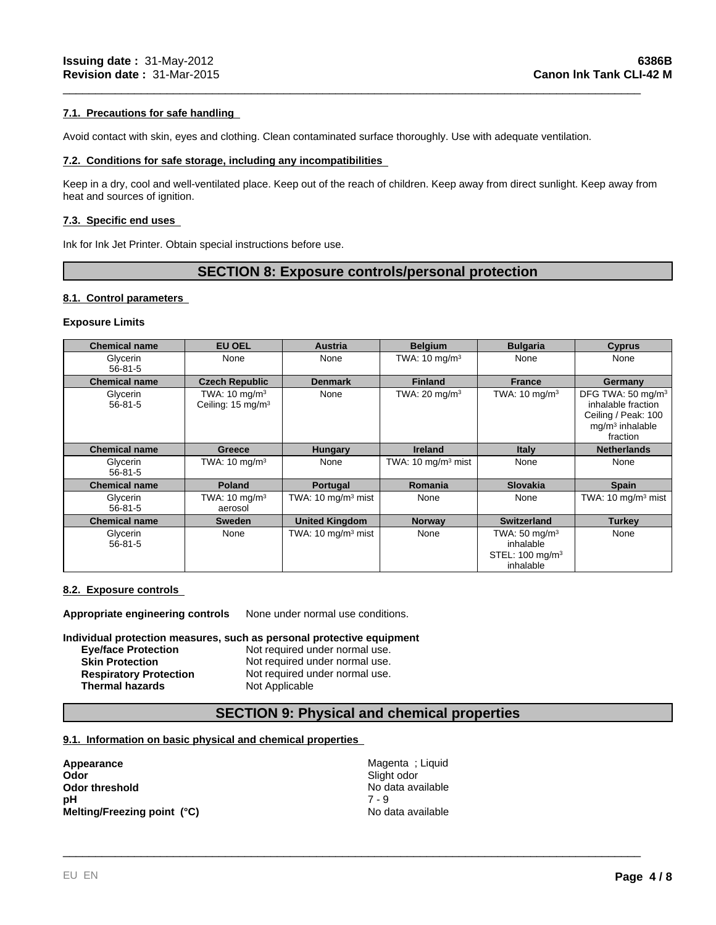#### **7.1. Precautions for safe handling**

Avoid contact with skin, eyes and clothing. Clean contaminated surface thoroughly. Use with adequate ventilation.

#### **7.2. Conditions for safe storage, including any incompatibilities**

Keep in a dry, cool and well-ventilated place. Keep out of the reach of children. Keep away from direct sunlight. Keep away from heat and sources of ignition.

\_\_\_\_\_\_\_\_\_\_\_\_\_\_\_\_\_\_\_\_\_\_\_\_\_\_\_\_\_\_\_\_\_\_\_\_\_\_\_\_\_\_\_\_\_\_\_\_\_\_\_\_\_\_\_\_\_\_\_\_\_\_\_\_\_\_\_\_\_\_\_\_\_\_\_\_\_\_\_\_\_\_\_\_\_\_\_\_\_

#### **7.3. Specific end uses**

Ink for Ink Jet Printer. Obtain special instructions before use.

### **SECTION 8: Exposure controls/personal protection**

#### **8.1. Control parameters**

#### **Exposure Limits**

| <b>Chemical name</b>      | <b>EU OEL</b>                                             | <b>Austria</b>                 | <b>Belgium</b>                | <b>Bulgaria</b>                                                           | <b>Cyprus</b>                                                                                               |
|---------------------------|-----------------------------------------------------------|--------------------------------|-------------------------------|---------------------------------------------------------------------------|-------------------------------------------------------------------------------------------------------------|
| Glycerin<br>$56 - 81 - 5$ | None                                                      | None                           | TWA: $10 \text{ mg/m}^3$      | None                                                                      | None                                                                                                        |
| <b>Chemical name</b>      | <b>Czech Republic</b>                                     | <b>Denmark</b>                 | <b>Finland</b>                | <b>France</b>                                                             | Germany                                                                                                     |
| Glycerin<br>$56 - 81 - 5$ | TWA: $10 \text{ mg/m}^3$<br>Ceiling: 15 mg/m <sup>3</sup> | None                           | TWA: $20 \text{ mg/m}^3$      | TWA: $10 \text{ mg/m}^3$                                                  | DFG TWA: 50 mg/m <sup>3</sup><br>inhalable fraction<br>Ceiling / Peak: 100<br>$mq/m3$ inhalable<br>fraction |
| <b>Chemical name</b>      | <b>Greece</b>                                             | <b>Hungary</b>                 | <b>Ireland</b>                | <b>Italy</b>                                                              | <b>Netherlands</b>                                                                                          |
| Glycerin<br>$56 - 81 - 5$ | TWA: $10 \text{ mg/m}^3$                                  | None                           | TWA: $10 \text{ mg/m}^3$ mist | None                                                                      | None                                                                                                        |
| <b>Chemical name</b>      | <b>Poland</b>                                             | Portugal                       | <b>Romania</b>                | <b>Slovakia</b>                                                           | <b>Spain</b>                                                                                                |
| Glycerin<br>$56 - 81 - 5$ | TWA: $10 \text{ mg/m}^3$<br>aerosol                       | TWA: 10 mg/m <sup>3</sup> mist | None                          | None                                                                      | TWA: $10 \text{ mg/m}^3$ mist                                                                               |
| <b>Chemical name</b>      | <b>Sweden</b>                                             | <b>United Kingdom</b>          | <b>Norway</b>                 | <b>Switzerland</b>                                                        | <b>Turkey</b>                                                                                               |
| Glycerin<br>$56 - 81 - 5$ | None                                                      | TWA: 10 mg/m <sup>3</sup> mist | None                          | TWA: 50 mg/m $3$<br>inhalable<br>STEL: 100 mg/m <sup>3</sup><br>inhalable | None                                                                                                        |

#### **8.2. Exposure controls**

**Appropriate engineering controls** None under normal use conditions.

#### **Individual protection measures, such as personal protective equipment**

| <b>Eve/face Protection</b>    | Not required under normal use. |
|-------------------------------|--------------------------------|
| <b>Skin Protection</b>        | Not required under normal use. |
| <b>Respiratory Protection</b> | Not required under normal use. |
| <b>Thermal hazards</b>        | Not Applicable                 |

## **SECTION 9: Physical and chemical properties**

#### **9.1. Information on basic physical and chemical properties**

**Appearance Magenta ; Liquid Contract Contract Contract Contract Contract Contract Contract Contract Contract Contract Contract Contract Contract Contract Contract Contract Contract Contract Contract Contract Contract Co** Odor<br>
Odor threshold<br>
pH<br>
Melting/Freezing point (°C)<br>
Melting/Freezing point (°C)<br>
Melting/Freezing point (°C)<br>
No data available<br>
No data available **Odor threshold**<br> **Odor threshold**<br> **PH**<br>  $7 - 9$ <br>  $7 - 9$ **pH** 7 - 9 **Melting/Freezing point (°C)** No data available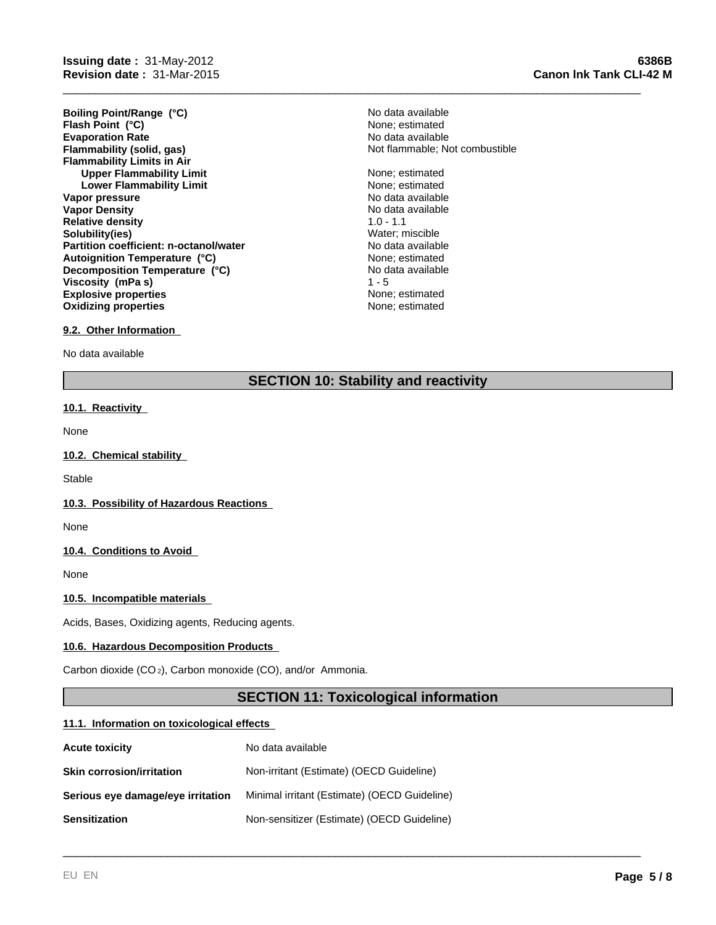**Evaporation Rate Evaporation Rate Evaporation Rate Flammability (solid, gas) No data available Flammability (solid, gas) No data available Flammability Limits in Air Upper Flammability Limit** None; estimated None; estimated None; estimated None; estimated None; estimated None; estimated None; estimated None; estimated None; estimated None; estimated None; estimated None; estimated Non **Lower Flammability Limit Vapor pressure** No data available No data available **Vapor Density No data available** No data available **Relative density** 1.0 - 1.1 **Solubility(ies)** Water; miscible **Partition coefficient: n-octanol/water** No data available<br> **Autoignition Temperature (°C)** None: estimated **Explosive properties None**; estimated **Oxidizing properties None; estimated None; estimated Boiling Point/Range (°C)** No data available **Flash Point (°C)**  $\overrightarrow{ }$   $\overrightarrow{ }$  None; estimated **Autoignition Temperature (°C) Decomposition Temperature (°C) Viscosity (mPa s)** 

# Not flammable; Not combustible

No data available<br>1 - 5

\_\_\_\_\_\_\_\_\_\_\_\_\_\_\_\_\_\_\_\_\_\_\_\_\_\_\_\_\_\_\_\_\_\_\_\_\_\_\_\_\_\_\_\_\_\_\_\_\_\_\_\_\_\_\_\_\_\_\_\_\_\_\_\_\_\_\_\_\_\_\_\_\_\_\_\_\_\_\_\_\_\_\_\_\_\_\_\_\_

#### **9.2. Other Information**

No data available

## **SECTION 10: Stability and reactivity**

#### **10.1. Reactivity**

None

#### **10.2. Chemical stability**

**Stable** 

#### **10.3. Possibility of Hazardous Reactions**

None

#### **10.4. Conditions to Avoid**

None

#### **10.5. Incompatible materials**

Acids, Bases, Oxidizing agents, Reducing agents.

#### **10.6. Hazardous Decomposition Products**

Carbon dioxide (CO 2), Carbon monoxide (CO), and/or Ammonia.

## **SECTION 11: Toxicological information**

\_\_\_\_\_\_\_\_\_\_\_\_\_\_\_\_\_\_\_\_\_\_\_\_\_\_\_\_\_\_\_\_\_\_\_\_\_\_\_\_\_\_\_\_\_\_\_\_\_\_\_\_\_\_\_\_\_\_\_\_\_\_\_\_\_\_\_\_\_\_\_\_\_\_\_\_\_\_\_\_\_\_\_\_\_\_\_\_\_

#### **11.1. Information on toxicological effects**

| <b>Acute toxicity</b>             | No data available                            |
|-----------------------------------|----------------------------------------------|
| <b>Skin corrosion/irritation</b>  | Non-irritant (Estimate) (OECD Guideline)     |
| Serious eye damage/eye irritation | Minimal irritant (Estimate) (OECD Guideline) |
| <b>Sensitization</b>              | Non-sensitizer (Estimate) (OECD Guideline)   |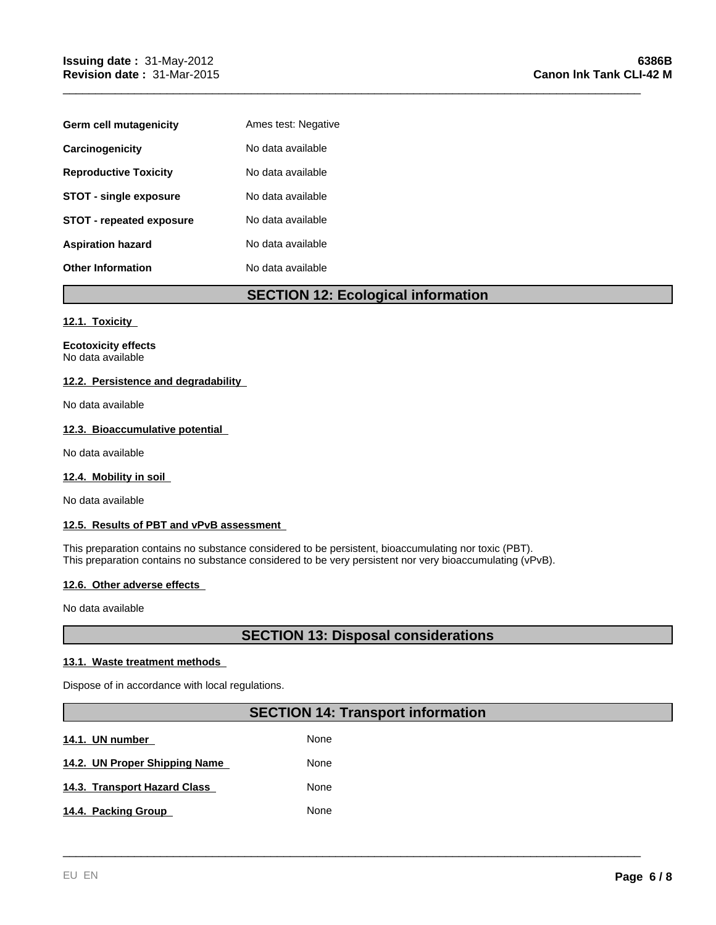| Germ cell mutagenicity          | Ames test: Negative |
|---------------------------------|---------------------|
| Carcinogenicity                 | No data available   |
| <b>Reproductive Toxicity</b>    | No data available   |
| <b>STOT - single exposure</b>   | No data available   |
| <b>STOT - repeated exposure</b> | No data available   |
| <b>Aspiration hazard</b>        | No data available   |
| <b>Other Information</b>        | No data available   |

## **SECTION 12: Ecological information**

\_\_\_\_\_\_\_\_\_\_\_\_\_\_\_\_\_\_\_\_\_\_\_\_\_\_\_\_\_\_\_\_\_\_\_\_\_\_\_\_\_\_\_\_\_\_\_\_\_\_\_\_\_\_\_\_\_\_\_\_\_\_\_\_\_\_\_\_\_\_\_\_\_\_\_\_\_\_\_\_\_\_\_\_\_\_\_\_\_

#### **12.1. Toxicity**

**Ecotoxicity effects** No data available

#### **12.2. Persistence and degradability**

No data available

#### **12.3. Bioaccumulative potential**

No data available

#### **12.4. Mobility in soil**

No data available

#### **12.5. Results of PBT and vPvB assessment**

This preparation contains no substance considered to be persistent, bioaccumulating nor toxic (PBT). This preparation contains no substance considered to be very persistent nor very bioaccumulating (vPvB).

#### **12.6. Other adverse effects**

No data available

## **SECTION 13: Disposal considerations**

#### **13.1. Waste treatment methods**

Dispose of in accordance with local regulations.

## **SECTION 14: Transport information**

\_\_\_\_\_\_\_\_\_\_\_\_\_\_\_\_\_\_\_\_\_\_\_\_\_\_\_\_\_\_\_\_\_\_\_\_\_\_\_\_\_\_\_\_\_\_\_\_\_\_\_\_\_\_\_\_\_\_\_\_\_\_\_\_\_\_\_\_\_\_\_\_\_\_\_\_\_\_\_\_\_\_\_\_\_\_\_\_\_

**14.1. UN number 14.1. None** 14.2. UN Proper Shipping Name **None** None **14.3. Transport Hazard Class None** 14.4. Packing Group None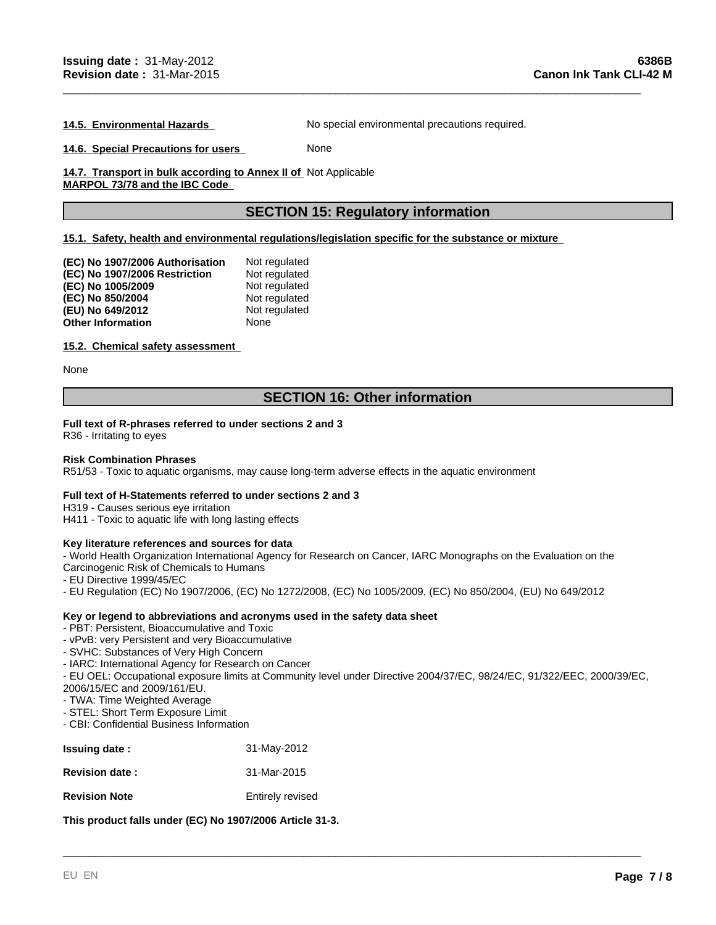**14.5. Environmental Hazards** No special environmental precautions required.

\_\_\_\_\_\_\_\_\_\_\_\_\_\_\_\_\_\_\_\_\_\_\_\_\_\_\_\_\_\_\_\_\_\_\_\_\_\_\_\_\_\_\_\_\_\_\_\_\_\_\_\_\_\_\_\_\_\_\_\_\_\_\_\_\_\_\_\_\_\_\_\_\_\_\_\_\_\_\_\_\_\_\_\_\_\_\_\_\_

**14.6. Special Precautions for users** None

14.7. Transport in bulk according to Annex II of Not Applicable **MARPOL 73/78 and the IBC Code** 

## **SECTION 15: Regulatory information**

#### **15.1. Safety, health and environmental regulations/legislation specific for the substance or mixture**

| (EC) No 1907/2006 Authorisation | Not regulated |
|---------------------------------|---------------|
| (EC) No 1907/2006 Restriction   | Not regulated |
| (EC) No 1005/2009               | Not regulated |
| (EC) No 850/2004                | Not regulated |
| (EU) No 649/2012                | Not regulated |
| <b>Other Information</b>        | None          |

#### **15.2. Chemical safety assessment**

None

### **SECTION 16: Other information**

#### **Full text of R-phrases referred to under sections 2 and 3**

R36 - Irritating to eyes

#### **Risk Combination Phrases**

R51/53 - Toxic to aquatic organisms, may cause long-term adverse effects in the aquatic environment

#### **Full text of H-Statements referred to under sections 2 and 3**

H319 - Causes serious eye irritation

H411 - Toxic to aquatic life with long lasting effects

#### **Key literature references and sources for data**

- World Health Organization International Agency for Research on Cancer, IARC Monographs on the Evaluation on the Carcinogenic Risk of Chemicals to Humans

- EU Directive 1999/45/EC

- EU Regulation (EC) No 1907/2006, (EC) No 1272/2008, (EC) No 1005/2009, (EC) No 850/2004, (EU) No 649/2012

#### **Key or legend to abbreviations and acronyms used in the safety data sheet**

- PBT: Persistent, Bioaccumulative and Toxic
- vPvB: very Persistent and very Bioaccumulative
- SVHC: Substances of Very High Concern
- IARC: International Agency for Research on Cancer

- EU OEL: Occupational exposure limits at Community level under Directive 2004/37/EC, 98/24/EC, 91/322/EEC, 2000/39/EC, 2006/15/EC and 2009/161/EU.

\_\_\_\_\_\_\_\_\_\_\_\_\_\_\_\_\_\_\_\_\_\_\_\_\_\_\_\_\_\_\_\_\_\_\_\_\_\_\_\_\_\_\_\_\_\_\_\_\_\_\_\_\_\_\_\_\_\_\_\_\_\_\_\_\_\_\_\_\_\_\_\_\_\_\_\_\_\_\_\_\_\_\_\_\_\_\_\_\_

- TWA: Time Weighted Average
- STEL: Short Term Exposure Limit
- CBI: Confidential Business Information

| <b>Issuing date:</b>  | 31-May-2012      |
|-----------------------|------------------|
| <b>Revision date:</b> | 31-Mar-2015      |
| <b>Revision Note</b>  | Entirely revised |

**This product falls under (EC) No 1907/2006 Article 31-3.**